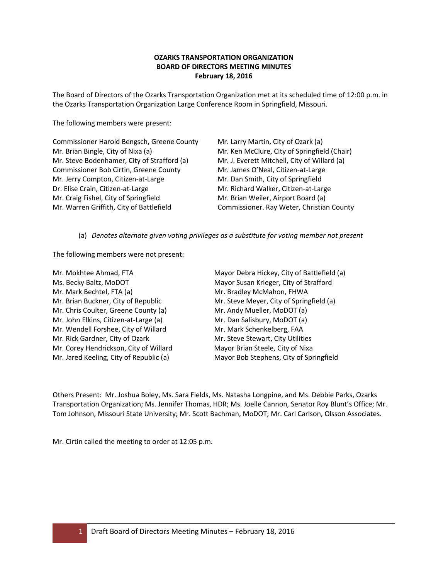# **OZARKS TRANSPORTATION ORGANIZATION BOARD OF DIRECTORS MEETING MINUTES February 18, 2016**

The Board of Directors of the Ozarks Transportation Organization met at its scheduled time of 12:00 p.m. in the Ozarks Transportation Organization Large Conference Room in Springfield, Missouri.

The following members were present:

Commissioner Harold Bengsch, Greene County Mr. Larry Martin, City of Ozark (a) Mr. Brian Bingle, City of Nixa (a) Mr. Ken McClure, City of Springfield (Chair) Mr. Steve Bodenhamer, City of Strafford (a) Mr. J. Everett Mitchell, City of Willard (a) Commissioner Bob Cirtin, Greene County Mr. James O'Neal, Citizen-at-Large Mr. Jerry Compton, Citizen-at-Large Mr. Dan Smith, City of Springfield Dr. Elise Crain, Citizen-at-Large Mr. Richard Walker, Citizen-at-Large Mr. Craig Fishel, City of Springfield Mr. Brian Weiler, Airport Board (a) Mr. Warren Griffith, City of Battlefield Commissioner. Ray Weter, Christian County

(a) *Denotes alternate given voting privileges as a substitute for voting member not present*

The following members were not present:

Mr. Mokhtee Ahmad, FTA Mayor Debra Hickey, City of Battlefield (a) Ms. Becky Baltz, MoDOT Mayor Susan Krieger, City of Strafford Mr. Mark Bechtel, FTA (a) Mr. Bradley McMahon, FHWA Mr. Brian Buckner, City of Republic Mr. Steve Meyer, City of Springfield (a) Mr. Chris Coulter, Greene County (a) Mr. Andy Mueller, MoDOT (a) Mr. John Elkins, Citizen-at-Large (a) Mr. Dan Salisbury, MoDOT (a) Mr. Wendell Forshee, City of Willard Mr. Mark Schenkelberg, FAA Mr. Rick Gardner, City of Ozark Mr. Steve Stewart, City Utilities Mr. Corey Hendrickson, City of Willard Mayor Brian Steele, City of Nixa Mr. Jared Keeling, City of Republic (a) Mayor Bob Stephens, City of Springfield

Others Present: Mr. Joshua Boley, Ms. Sara Fields, Ms. Natasha Longpine, and Ms. Debbie Parks, Ozarks Transportation Organization; Ms. Jennifer Thomas, HDR; Ms. Joelle Cannon, Senator Roy Blunt's Office; Mr. Tom Johnson, Missouri State University; Mr. Scott Bachman, MoDOT; Mr. Carl Carlson, Olsson Associates.

Mr. Cirtin called the meeting to order at 12:05 p.m.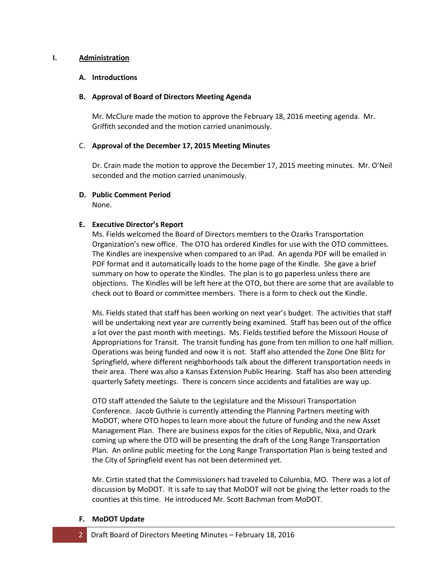### **I. Administration**

## **A. Introductions**

### **B. Approval of Board of Directors Meeting Agenda**

Mr. McClure made the motion to approve the February 18, 2016 meeting agenda. Mr. Griffith seconded and the motion carried unanimously.

## C. **Approval of the December 17, 2015 Meeting Minutes**

Dr. Crain made the motion to approve the December 17, 2015 meeting minutes. Mr. O'Neil seconded and the motion carried unanimously.

# **D. Public Comment Period**

None.

# **E. Executive Director's Report**

Ms. Fields welcomed the Board of Directors members to the Ozarks Transportation Organization's new office. The OTO has ordered Kindles for use with the OTO committees. The Kindles are inexpensive when compared to an IPad. An agenda PDF will be emailed in PDF format and it automatically loads to the home page of the Kindle. She gave a brief summary on how to operate the Kindles. The plan is to go paperless unless there are objections. The Kindles will be left here at the OTO, but there are some that are available to check out to Board or committee members. There is a form to check out the Kindle.

Ms. Fields stated that staff has been working on next year's budget. The activities that staff will be undertaking next year are currently being examined. Staff has been out of the office a lot over the past month with meetings. Ms. Fields testified before the Missouri House of Appropriations for Transit. The transit funding has gone from ten million to one half million. Operations was being funded and now it is not. Staff also attended the Zone One Blitz for Springfield, where different neighborhoods talk about the different transportation needs in their area. There was also a Kansas Extension Public Hearing. Staff has also been attending quarterly Safety meetings. There is concern since accidents and fatalities are way up.

OTO staff attended the Salute to the Legislature and the Missouri Transportation Conference. Jacob Guthrie is currently attending the Planning Partners meeting with MoDOT, where OTO hopes to learn more about the future of funding and the new Asset Management Plan. There are business expos for the cities of Republic, Nixa, and Ozark coming up where the OTO will be presenting the draft of the Long Range Transportation Plan. An online public meeting for the Long Range Transportation Plan is being tested and the City of Springfield event has not been determined yet.

Mr. Cirtin stated that the Commissioners had traveled to Columbia, MO. There was a lot of discussion by MoDOT. It is safe to say that MoDOT will not be giving the letter roads to the counties at this time. He introduced Mr. Scott Bachman from MoDOT.

#### **F. MoDOT Update**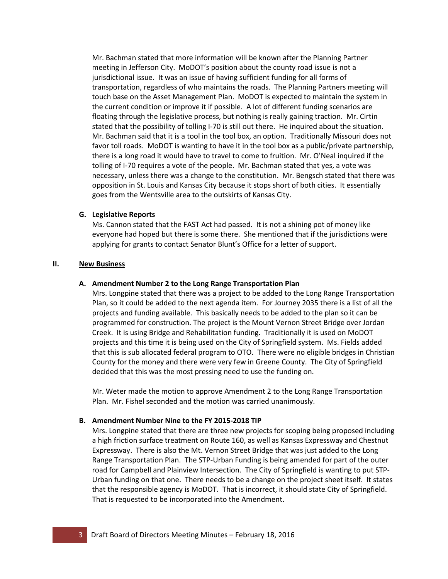Mr. Bachman stated that more information will be known after the Planning Partner meeting in Jefferson City. MoDOT's position about the county road issue is not a jurisdictional issue. It was an issue of having sufficient funding for all forms of transportation, regardless of who maintains the roads. The Planning Partners meeting will touch base on the Asset Management Plan. MoDOT is expected to maintain the system in the current condition or improve it if possible. A lot of different funding scenarios are floating through the legislative process, but nothing is really gaining traction. Mr. Cirtin stated that the possibility of tolling I-70 is still out there. He inquired about the situation. Mr. Bachman said that it is a tool in the tool box, an option. Traditionally Missouri does not favor toll roads. MoDOT is wanting to have it in the tool box as a public/private partnership, there is a long road it would have to travel to come to fruition. Mr. O'Neal inquired if the tolling of I-70 requires a vote of the people. Mr. Bachman stated that yes, a vote was necessary, unless there was a change to the constitution. Mr. Bengsch stated that there was opposition in St. Louis and Kansas City because it stops short of both cities. It essentially goes from the Wentsville area to the outskirts of Kansas City.

#### **G. Legislative Reports**

Ms. Cannon stated that the FAST Act had passed. It is not a shining pot of money like everyone had hoped but there is some there. She mentioned that if the jurisdictions were applying for grants to contact Senator Blunt's Office for a letter of support.

#### **II. New Business**

#### **A. Amendment Number 2 to the Long Range Transportation Plan**

Mrs. Longpine stated that there was a project to be added to the Long Range Transportation Plan, so it could be added to the next agenda item. For Journey 2035 there is a list of all the projects and funding available. This basically needs to be added to the plan so it can be programmed for construction. The project is the Mount Vernon Street Bridge over Jordan Creek. It is using Bridge and Rehabilitation funding. Traditionally it is used on MoDOT projects and this time it is being used on the City of Springfield system. Ms. Fields added that this is sub allocated federal program to OTO. There were no eligible bridges in Christian County for the money and there were very few in Greene County. The City of Springfield decided that this was the most pressing need to use the funding on.

Mr. Weter made the motion to approve Amendment 2 to the Long Range Transportation Plan. Mr. Fishel seconded and the motion was carried unanimously.

#### **B. Amendment Number Nine to the FY 2015-2018 TIP**

Mrs. Longpine stated that there are three new projects for scoping being proposed including a high friction surface treatment on Route 160, as well as Kansas Expressway and Chestnut Expressway. There is also the Mt. Vernon Street Bridge that was just added to the Long Range Transportation Plan. The STP-Urban Funding is being amended for part of the outer road for Campbell and Plainview Intersection. The City of Springfield is wanting to put STP-Urban funding on that one. There needs to be a change on the project sheet itself. It states that the responsible agency is MoDOT. That is incorrect, it should state City of Springfield. That is requested to be incorporated into the Amendment.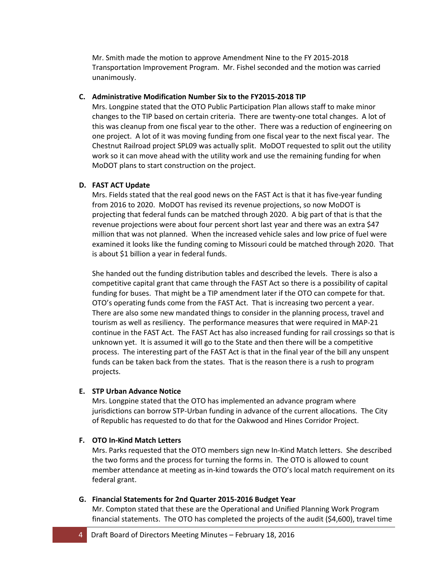Mr. Smith made the motion to approve Amendment Nine to the FY 2015-2018 Transportation Improvement Program. Mr. Fishel seconded and the motion was carried unanimously.

## **C. Administrative Modification Number Six to the FY2015-2018 TIP**

Mrs. Longpine stated that the OTO Public Participation Plan allows staff to make minor changes to the TIP based on certain criteria. There are twenty-one total changes. A lot of this was cleanup from one fiscal year to the other. There was a reduction of engineering on one project. A lot of it was moving funding from one fiscal year to the next fiscal year. The Chestnut Railroad project SPL09 was actually split. MoDOT requested to split out the utility work so it can move ahead with the utility work and use the remaining funding for when MoDOT plans to start construction on the project.

## **D. FAST ACT Update**

Mrs. Fields stated that the real good news on the FAST Act is that it has five-year funding from 2016 to 2020. MoDOT has revised its revenue projections, so now MoDOT is projecting that federal funds can be matched through 2020. A big part of that is that the revenue projections were about four percent short last year and there was an extra \$47 million that was not planned. When the increased vehicle sales and low price of fuel were examined it looks like the funding coming to Missouri could be matched through 2020. That is about \$1 billion a year in federal funds.

She handed out the funding distribution tables and described the levels. There is also a competitive capital grant that came through the FAST Act so there is a possibility of capital funding for buses. That might be a TIP amendment later if the OTO can compete for that. OTO's operating funds come from the FAST Act. That is increasing two percent a year. There are also some new mandated things to consider in the planning process, travel and tourism as well as resiliency. The performance measures that were required in MAP-21 continue in the FAST Act. The FAST Act has also increased funding for rail crossings so that is unknown yet. It is assumed it will go to the State and then there will be a competitive process. The interesting part of the FAST Act is that in the final year of the bill any unspent funds can be taken back from the states. That is the reason there is a rush to program projects.

#### **E. STP Urban Advance Notice**

Mrs. Longpine stated that the OTO has implemented an advance program where jurisdictions can borrow STP-Urban funding in advance of the current allocations. The City of Republic has requested to do that for the Oakwood and Hines Corridor Project.

# **F. OTO In-Kind Match Letters**

Mrs. Parks requested that the OTO members sign new In-Kind Match letters. She described the two forms and the process for turning the forms in. The OTO is allowed to count member attendance at meeting as in-kind towards the OTO's local match requirement on its federal grant.

#### **G. Financial Statements for 2nd Quarter 2015-2016 Budget Year**

Mr. Compton stated that these are the Operational and Unified Planning Work Program financial statements. The OTO has completed the projects of the audit (\$4,600), travel time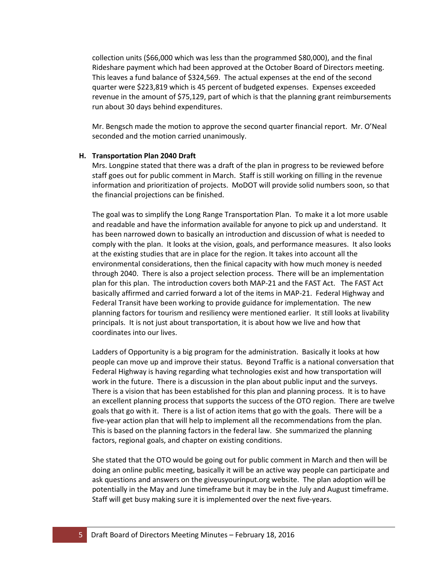collection units (\$66,000 which was less than the programmed \$80,000), and the final Rideshare payment which had been approved at the October Board of Directors meeting. This leaves a fund balance of \$324,569. The actual expenses at the end of the second quarter were \$223,819 which is 45 percent of budgeted expenses. Expenses exceeded revenue in the amount of \$75,129, part of which is that the planning grant reimbursements run about 30 days behind expenditures.

Mr. Bengsch made the motion to approve the second quarter financial report. Mr. O'Neal seconded and the motion carried unanimously.

#### **H. Transportation Plan 2040 Draft**

Mrs. Longpine stated that there was a draft of the plan in progress to be reviewed before staff goes out for public comment in March. Staff is still working on filling in the revenue information and prioritization of projects. MoDOT will provide solid numbers soon, so that the financial projections can be finished.

The goal was to simplify the Long Range Transportation Plan. To make it a lot more usable and readable and have the information available for anyone to pick up and understand. It has been narrowed down to basically an introduction and discussion of what is needed to comply with the plan. It looks at the vision, goals, and performance measures. It also looks at the existing studies that are in place for the region. It takes into account all the environmental considerations, then the finical capacity with how much money is needed through 2040. There is also a project selection process. There will be an implementation plan for this plan. The introduction covers both MAP-21 and the FAST Act. The FAST Act basically affirmed and carried forward a lot of the items in MAP-21. Federal Highway and Federal Transit have been working to provide guidance for implementation. The new planning factors for tourism and resiliency were mentioned earlier. It still looks at livability principals. It is not just about transportation, it is about how we live and how that coordinates into our lives.

Ladders of Opportunity is a big program for the administration. Basically it looks at how people can move up and improve their status. Beyond Traffic is a national conversation that Federal Highway is having regarding what technologies exist and how transportation will work in the future. There is a discussion in the plan about public input and the surveys. There is a vision that has been established for this plan and planning process. It is to have an excellent planning process that supports the success of the OTO region. There are twelve goals that go with it. There is a list of action items that go with the goals. There will be a five-year action plan that will help to implement all the recommendations from the plan. This is based on the planning factors in the federal law. She summarized the planning factors, regional goals, and chapter on existing conditions.

She stated that the OTO would be going out for public comment in March and then will be doing an online public meeting, basically it will be an active way people can participate and ask questions and answers on the giveusyourinput.org website. The plan adoption will be potentially in the May and June timeframe but it may be in the July and August timeframe. Staff will get busy making sure it is implemented over the next five-years.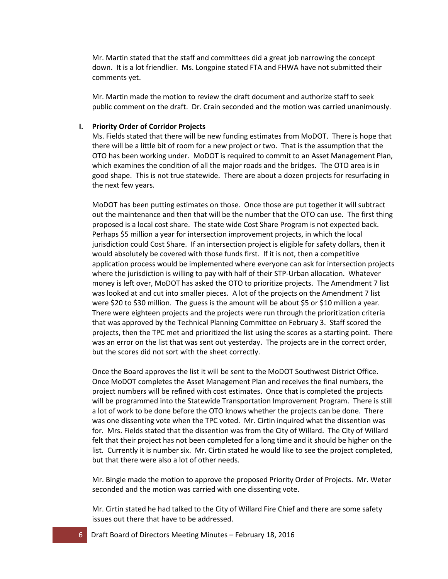Mr. Martin stated that the staff and committees did a great job narrowing the concept down. It is a lot friendlier. Ms. Longpine stated FTA and FHWA have not submitted their comments yet.

Mr. Martin made the motion to review the draft document and authorize staff to seek public comment on the draft. Dr. Crain seconded and the motion was carried unanimously.

#### **I. Priority Order of Corridor Projects**

Ms. Fields stated that there will be new funding estimates from MoDOT. There is hope that there will be a little bit of room for a new project or two. That is the assumption that the OTO has been working under. MoDOT is required to commit to an Asset Management Plan, which examines the condition of all the major roads and the bridges. The OTO area is in good shape. This is not true statewide. There are about a dozen projects for resurfacing in the next few years.

MoDOT has been putting estimates on those. Once those are put together it will subtract out the maintenance and then that will be the number that the OTO can use. The first thing proposed is a local cost share. The state wide Cost Share Program is not expected back. Perhaps \$5 million a year for intersection improvement projects, in which the local jurisdiction could Cost Share. If an intersection project is eligible for safety dollars, then it would absolutely be covered with those funds first. If it is not, then a competitive application process would be implemented where everyone can ask for intersection projects where the jurisdiction is willing to pay with half of their STP-Urban allocation. Whatever money is left over, MoDOT has asked the OTO to prioritize projects. The Amendment 7 list was looked at and cut into smaller pieces. A lot of the projects on the Amendment 7 list were \$20 to \$30 million. The guess is the amount will be about \$5 or \$10 million a year. There were eighteen projects and the projects were run through the prioritization criteria that was approved by the Technical Planning Committee on February 3. Staff scored the projects, then the TPC met and prioritized the list using the scores as a starting point. There was an error on the list that was sent out yesterday. The projects are in the correct order, but the scores did not sort with the sheet correctly.

Once the Board approves the list it will be sent to the MoDOT Southwest District Office. Once MoDOT completes the Asset Management Plan and receives the final numbers, the project numbers will be refined with cost estimates. Once that is completed the projects will be programmed into the Statewide Transportation Improvement Program. There is still a lot of work to be done before the OTO knows whether the projects can be done. There was one dissenting vote when the TPC voted. Mr. Cirtin inquired what the dissention was for. Mrs. Fields stated that the dissention was from the City of Willard. The City of Willard felt that their project has not been completed for a long time and it should be higher on the list. Currently it is number six. Mr. Cirtin stated he would like to see the project completed, but that there were also a lot of other needs.

Mr. Bingle made the motion to approve the proposed Priority Order of Projects. Mr. Weter seconded and the motion was carried with one dissenting vote.

Mr. Cirtin stated he had talked to the City of Willard Fire Chief and there are some safety issues out there that have to be addressed.